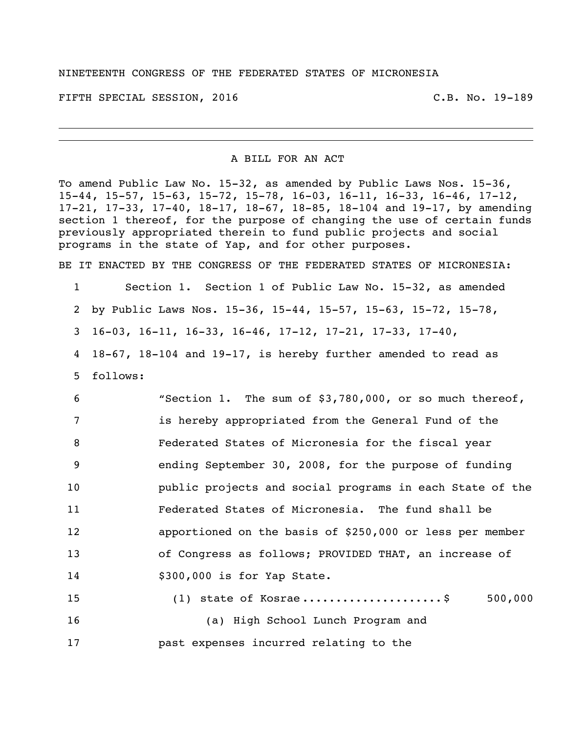FIFTH SPECIAL SESSION, 2016 C.B. No. 19-189

## A BILL FOR AN ACT

To amend Public Law No. 15-32, as amended by Public Laws Nos. 15-36, 15-44, 15-57, 15-63, 15-72, 15-78, 16-03, 16-11, 16-33, 16-46, 17-12, 17-21, 17-33, 17-40, 18-17, 18-67, 18-85, 18-104 and 19-17, by amending section 1 thereof, for the purpose of changing the use of certain funds previously appropriated therein to fund public projects and social programs in the state of Yap, and for other purposes.

BE IT ENACTED BY THE CONGRESS OF THE FEDERATED STATES OF MICRONESIA:

Section 1. Section 1 of Public Law No. 15-32, as amended

by Public Laws Nos. 15-36, 15-44, 15-57, 15-63, 15-72, 15-78,

16-03, 16-11, 16-33, 16-46, 17-12, 17-21, 17-33, 17-40,

 18-67, 18-104 and 19-17, is hereby further amended to read as follows:

 "Section 1. The sum of \$3,780,000, or so much thereof, is hereby appropriated from the General Fund of the Federated States of Micronesia for the fiscal year ending September 30, 2008, for the purpose of funding public projects and social programs in each State of the Federated States of Micronesia. The fund shall be apportioned on the basis of \$250,000 or less per member of Congress as follows; PROVIDED THAT, an increase of \$300,000 is for Yap State.

 (1) state of Kosrae .....................\$ 500,000 (a) High School Lunch Program and past expenses incurred relating to the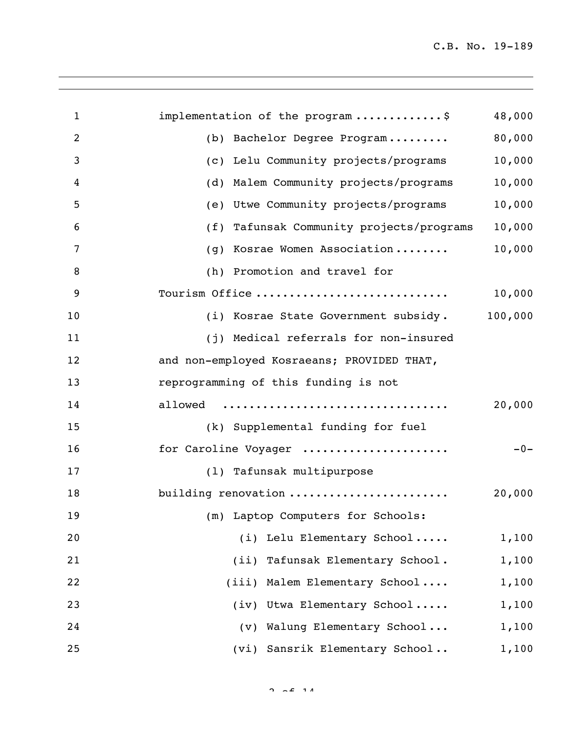| $\mathbf{1}$   | implementation of the program \$           | 48,000  |
|----------------|--------------------------------------------|---------|
| $\overline{2}$ | Bachelor Degree Program<br>(b)             | 80,000  |
| 3              | (c) Lelu Community projects/programs       | 10,000  |
| 4              | Malem Community projects/programs<br>(d)   | 10,000  |
| 5              | Utwe Community projects/programs<br>(e)    | 10,000  |
| 6              | (f) Tafunsak Community projects/programs   | 10,000  |
| 7              | Kosrae Women Association<br>(g)            | 10,000  |
| 8              | (h) Promotion and travel for               |         |
| 9              | Tourism Office                             | 10,000  |
| 10             | (i) Kosrae State Government subsidy.       | 100,000 |
| 11             | (j) Medical referrals for non-insured      |         |
| 12             | and non-employed Kosraeans; PROVIDED THAT, |         |
| 13             | reprogramming of this funding is not       |         |
| 14             | allowed                                    | 20,000  |
| 15             | (k) Supplemental funding for fuel          |         |
| 16             | for Caroline Voyager                       | $-0-$   |
| 17             | (1) Tafunsak multipurpose                  |         |
| 18             | building renovation                        | 20,000  |
| 19             | (m) Laptop Computers for Schools:          |         |
| 20             | (i) Lelu Elementary School                 | 1,100   |
| 21             | (ii) Tafunsak Elementary School.           | 1,100   |
| 22             | (iii) Malem Elementary School              | 1,100   |
| 23             | (iv) Utwa Elementary School                | 1,100   |
| 24             | (v) Walung Elementary School               | 1,100   |
| 25             | (vi) Sansrik Elementary School             | 1,100   |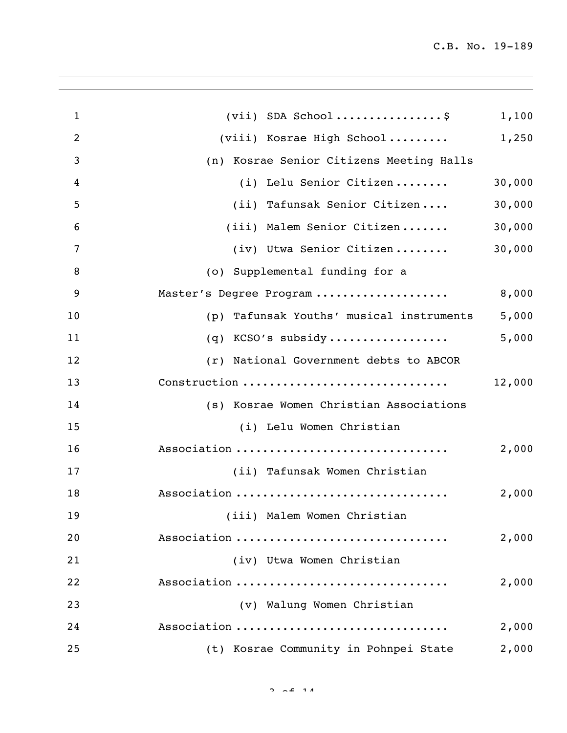| $\mathbf{1}$ | $(vii)$ SDA School\$                        | 1,100  |
|--------------|---------------------------------------------|--------|
| 2            | (viii) Kosrae High School                   | 1,250  |
| 3            | (n) Kosrae Senior Citizens Meeting Halls    |        |
| 4            | (i) Lelu Senior Citizen                     | 30,000 |
| 5            | (ii) Tafunsak Senior Citizen                | 30,000 |
| 6            | (iii) Malem Senior Citizen                  | 30,000 |
| 7            | (iv) Utwa Senior Citizen                    | 30,000 |
| 8            | (o) Supplemental funding for a              |        |
| 9            | Master's Degree Program                     | 8,000  |
| 10           | Tafunsak Youths' musical instruments<br>(p) | 5,000  |
| 11           | KCSO's subsidy<br>(q)                       | 5,000  |
| 12           | (r) National Government debts to ABCOR      |        |
| 13           | Construction                                | 12,000 |
| 14           | (s) Kosrae Women Christian Associations     |        |
| 15           | (i) Lelu Women Christian                    |        |
| 16           | Association                                 | 2,000  |
| 17           | (ii) Tafunsak Women Christian               |        |
| 18           | Association                                 | 2,000  |
| 19           | (iii) Malem Women Christian                 |        |
| 20           | Association                                 | 2,000  |
| 21           | (iv) Utwa Women Christian                   |        |
| 22           | Association                                 | 2,000  |
| 23           | (v) Walung Women Christian                  |        |
| 24           | Association                                 | 2,000  |
| 25           | (t) Kosrae Community in Pohnpei State       | 2,000  |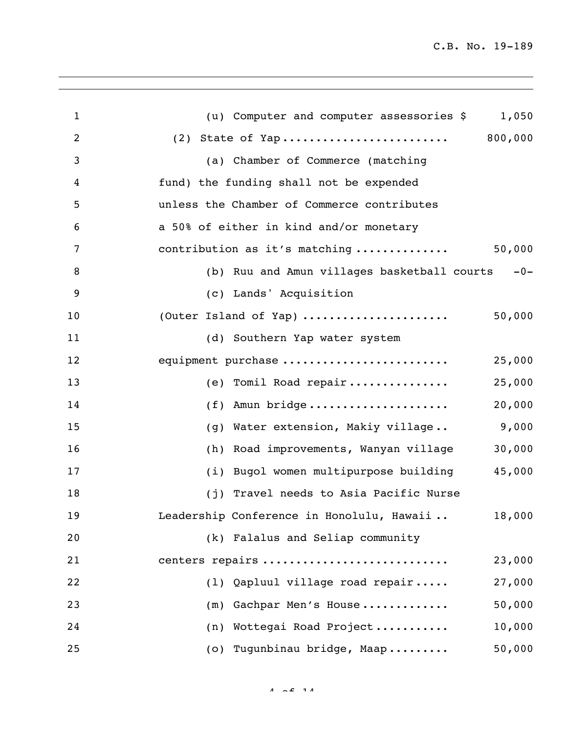| $\mathbf{1}$   | (u) Computer and computer assessories \$<br>1,050    |
|----------------|------------------------------------------------------|
| 2              |                                                      |
| 3              | (a) Chamber of Commerce (matching                    |
| $\overline{4}$ | fund) the funding shall not be expended              |
| 5              | unless the Chamber of Commerce contributes           |
| 6              | a 50% of either in kind and/or monetary              |
| 7              | 50,000<br>contribution as it's matching              |
| 8              | (b) Ruu and Amun villages basketball courts<br>$-0-$ |
| 9              | (c) Lands' Acquisition                               |
| 10             | 50,000<br>(Outer Island of Yap)                      |
| 11             | (d) Southern Yap water system                        |
| 12             | equipment purchase<br>25,000                         |
| 13             | (e) Tomil Road repair<br>25,000                      |
| 14             | Amun bridge<br>20,000<br>(f)                         |
| 15             | 9,000<br>Water extension, Makiy village<br>(q)       |
| 16             | 30,000<br>Road improvements, Wanyan village<br>(h)   |
| 17             | 45,000<br>(i) Bugol women multipurpose building      |
| 18             | (j) Travel needs to Asia Pacific Nurse               |
| 19             | Leadership Conference in Honolulu, Hawaii<br>18,000  |
| 20             | (k) Falalus and Seliap community                     |
| 21             | centers repairs<br>23,000                            |
| 22             | (1) Qapluul village road repair<br>27,000            |
| 23             | 50,000<br>(m) Gachpar Men's House                    |
| 24             | (n) Wottegai Road Project<br>10,000                  |
| 25             | 50,000<br>(o) Tugunbinau bridge, Maap                |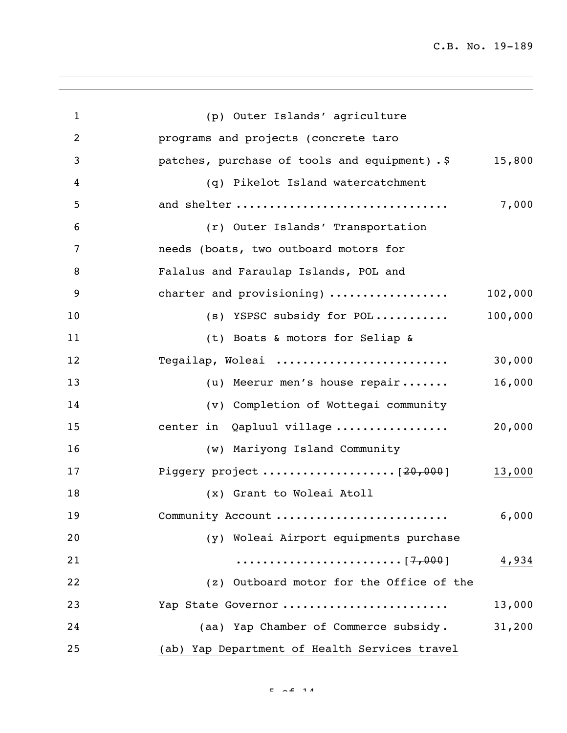| $\mathbf{1}$   | (p) Outer Islands' agriculture                |         |
|----------------|-----------------------------------------------|---------|
| $\overline{2}$ | programs and projects (concrete taro          |         |
| 3              | patches, purchase of tools and equipment). \$ | 15,800  |
| 4              | (q) Pikelot Island watercatchment             |         |
| 5              | and shelter                                   | 7,000   |
| 6              | (r) Outer Islands' Transportation             |         |
| 7              | needs (boats, two outboard motors for         |         |
| 8              | Falalus and Faraulap Islands, POL and         |         |
| 9              | charter and provisioning)                     | 102,000 |
| 10             | (s) YSPSC subsidy for POL                     | 100,000 |
| 11             | (t) Boats & motors for Seliap &               |         |
| 12             | Tegailap, Woleai                              | 30,000  |
| 13             | (u) Meerur men's house repair                 | 16,000  |
| 14             | (v) Completion of Wottegai community          |         |
| 15             | center in Qapluul village                     | 20,000  |
| 16             | (w) Mariyong Island Community                 |         |
| 17             |                                               | 13,000  |
| 18             | (x) Grant to Woleai Atoll                     |         |
| 19             | Community Account                             | 6,000   |
| 20             | (y) Woleai Airport equipments purchase        |         |
| 21             |                                               | 4,934   |
| 22             | (z) Outboard motor for the Office of the      |         |
| 23             | Yap State Governor                            | 13,000  |
| 24             | (aa) Yap Chamber of Commerce subsidy.         | 31,200  |
| 25             | (ab) Yap Department of Health Services travel |         |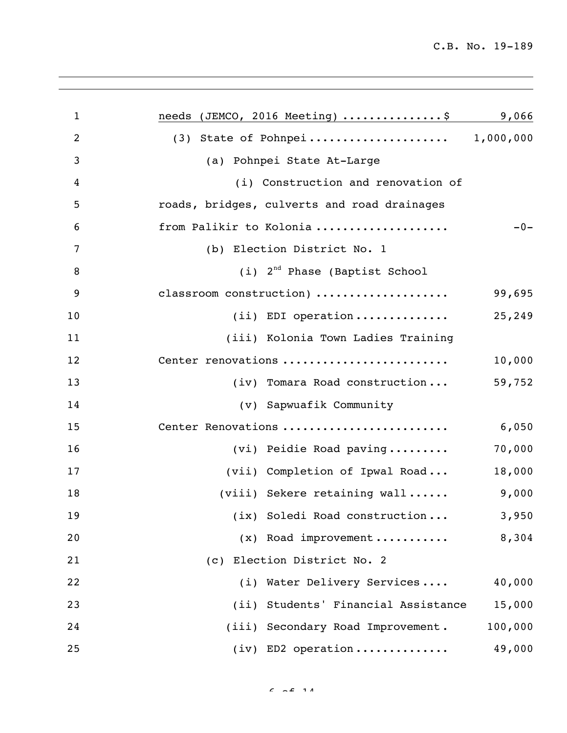| $\mathbf{1}$   | needs (JEMCO, 2016 Meeting) \$              | 9,066   |
|----------------|---------------------------------------------|---------|
| $\overline{2}$ | (3) State of Pohnpei 1,000,000              |         |
| 3              | (a) Pohnpei State At-Large                  |         |
| $\overline{4}$ | (i) Construction and renovation of          |         |
| 5              | roads, bridges, culverts and road drainages |         |
| 6              | from Palikir to Kolonia                     | $-0-$   |
| 7              | (b) Election District No. 1                 |         |
| 8              | $(i)$ 2 <sup>nd</sup> Phase (Baptist School |         |
| 9              | classroom construction)                     | 99,695  |
| 10             | $(i)$ EDI operation                         | 25,249  |
| 11             | (iii) Kolonia Town Ladies Training          |         |
| 12             | Center renovations                          | 10,000  |
| 13             | (iv) Tomara Road construction               | 59,752  |
| 14             | (v) Sapwuafik Community                     |         |
| 15             | Center Renovations                          | 6,050   |
| 16             | (vi) Peidie Road paving                     | 70,000  |
| 17             | (vii) Completion of Ipwal Road              | 18,000  |
| 18             | (viii) Sekere retaining wall                | 9,000   |
| 19             | (ix) Soledi Road construction               | 3,950   |
| 20             | (x) Road improvement                        | 8,304   |
| 21             | (c) Election District No. 2                 |         |
| 22             | (i) Water Delivery Services                 | 40,000  |
| 23             | (ii) Students' Financial Assistance         | 15,000  |
| 24             | (iii) Secondary Road Improvement.           | 100,000 |
| 25             | $(iv)$ ED2 operation                        | 49,000  |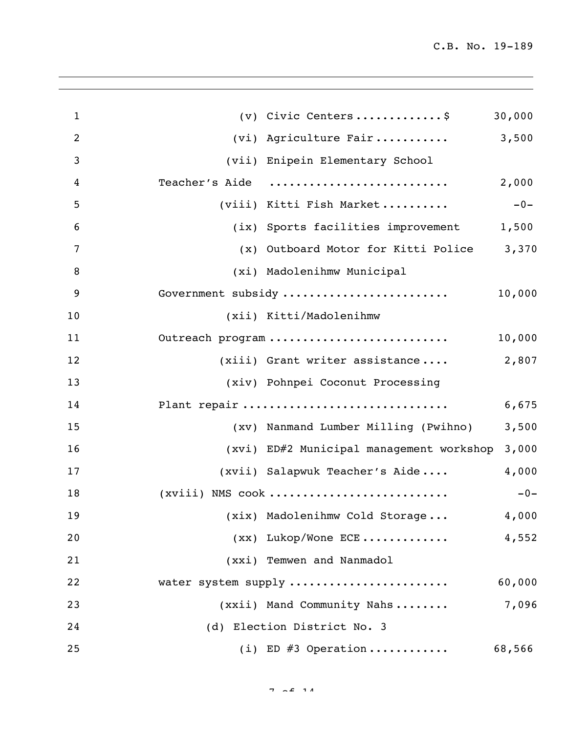| $\mathbf{1}$   | $(v)$ Civic Centers\$                     | 30,000 |
|----------------|-------------------------------------------|--------|
| $\overline{2}$ | (vi) Agriculture Fair                     | 3,500  |
| 3              | (vii) Enipein Elementary School           |        |
| $\overline{4}$ | Teacher's Aide                            | 2,000  |
| 5              | (viii) Kitti Fish Market                  | $-0-$  |
| 6              | (ix) Sports facilities improvement        | 1,500  |
| 7              | (x) Outboard Motor for Kitti Police 3,370 |        |
| 8              | (xi) Madolenihmw Municipal                |        |
| 9              | Government subsidy                        | 10,000 |
| 10             | (xii) Kitti/Madolenihmw                   |        |
| 11             | Outreach program                          | 10,000 |
| 12             | (xiii) Grant writer assistance            | 2,807  |
| 13             | (xiv) Pohnpei Coconut Processing          |        |
| 14             | Plant repair                              | 6,675  |
| 15             | (xv) Nanmand Lumber Milling (Pwihno)      | 3,500  |
| 16             | (xvi) ED#2 Municipal management workshop  | 3,000  |
| 17             | (xvii) Salapwuk Teacher's Aide            | 4,000  |
| 18             | $(xviii)$ NMS cook                        | $-0-$  |
| 19             | (xix) Madolenihmw Cold Storage            | 4,000  |
| 20             | $(xx)$ Lukop/Wone ECE                     | 4,552  |
| 21             | (xxi) Temwen and Nanmadol                 |        |
| 22             | water system supply                       | 60,000 |
| 23             | (xxii) Mand Community Nahs                | 7,096  |
| 24             | (d) Election District No. 3               |        |
| 25             | (i) ED $#3$ Operation                     | 68,566 |
|                |                                           |        |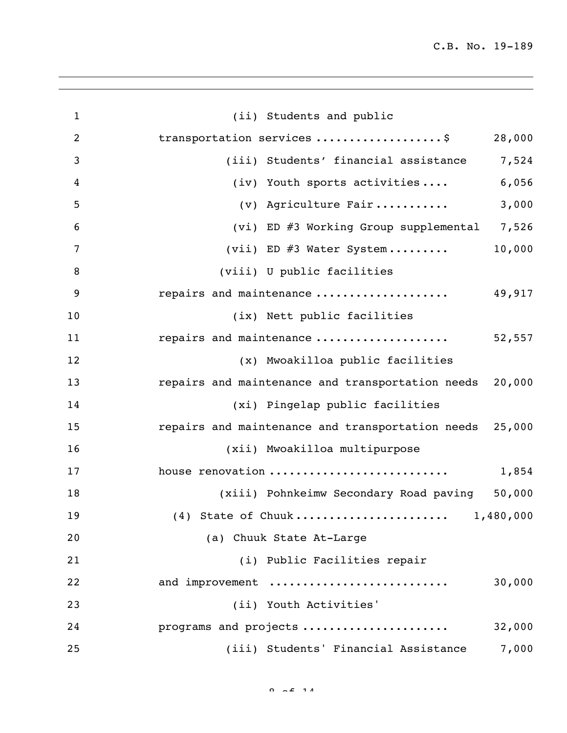| $\mathbf{1}$   | (ii) Students and public                                |
|----------------|---------------------------------------------------------|
| $\overline{2}$ | transportation services \$<br>28,000                    |
| 3              | 7,524<br>(iii) Students' financial assistance           |
| 4              | 6,056<br>(iv) Youth sports activities                   |
| 5              | 3,000<br>(v) Agriculture Fair                           |
| 6              | (vi) ED #3 Working Group supplemental 7,526             |
| 7              | 10,000<br>(vii) ED $\#3$ Water System                   |
| 8              | (viii) U public facilities                              |
| 9              | repairs and maintenance<br>49,917                       |
| 10             | (ix) Nett public facilities                             |
| 11             | repairs and maintenance<br>52,557                       |
| 12             | (x) Mwoakilloa public facilities                        |
| 13             | repairs and maintenance and transportation needs 20,000 |
| 14             | (xi) Pingelap public facilities                         |
| 15             | repairs and maintenance and transportation needs 25,000 |
| 16             | (xii) Mwoakilloa multipurpose                           |
| 17             | house renovation<br>1,854                               |
| 18             | (xiii) Pohnkeimw Secondary Road paving 50,000           |
| 19             |                                                         |
| 20             | (a) Chuuk State At-Large                                |
| 21             | (i) Public Facilities repair                            |
| 22             | and improvement<br>30,000                               |
| 23             | (ii) Youth Activities'                                  |
| 24             | programs and projects<br>32,000                         |
| 25             | (iii) Students' Financial Assistance<br>7,000           |

 $0.2511$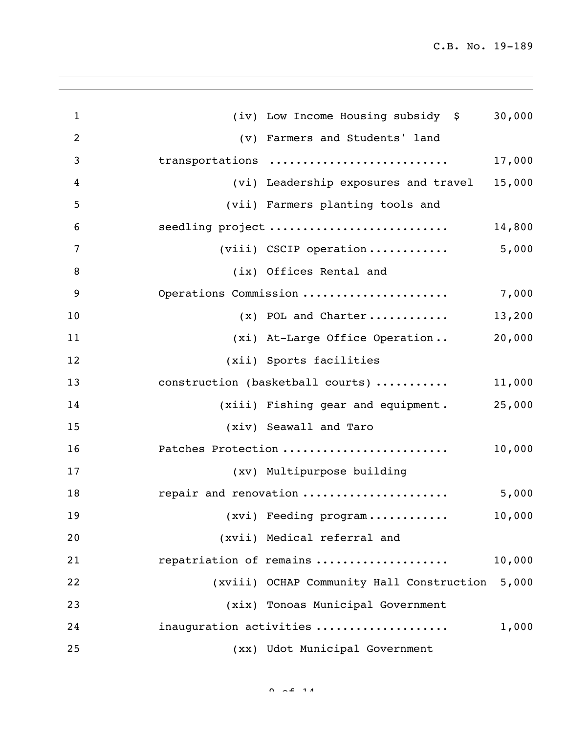| $\mathbf{1}$   | (iv) Low Income Housing subsidy \$          | 30,000 |
|----------------|---------------------------------------------|--------|
| $\overline{2}$ | (v) Farmers and Students' land              |        |
| 3              | transportations                             | 17,000 |
| $\overline{4}$ | (vi) Leadership exposures and travel 15,000 |        |
| 5              | (vii) Farmers planting tools and            |        |
| 6              | seedling project                            | 14,800 |
| 7              | 5,000<br>(viii) CSCIP operation             |        |
| 8              | (ix) Offices Rental and                     |        |
| 9              | Operations Commission                       | 7,000  |
| 10             | $(x)$ POL and Charter                       | 13,200 |
| 11             | (xi) At-Large Office Operation              | 20,000 |
| 12             | (xii) Sports facilities                     |        |
| 13             | construction (basketball courts)            | 11,000 |
| 14             | (xiii) Fishing gear and equipment.          | 25,000 |
| 15             | (xiv) Seawall and Taro                      |        |
| 16             | Patches Protection                          | 10,000 |
| 17             | (xv) Multipurpose building                  |        |
| 18             | repair and renovation                       | 5,000  |
| 19             | $(xvi)$ Feeding $program$                   | 10,000 |
| 20             | (xvii) Medical referral and                 |        |
| 21             | repatriation of remains                     | 10,000 |
| 22             | (xviii) OCHAP Community Hall Construction   | 5,000  |
| 23             | (xix) Tonoas Municipal Government           |        |
| 24             | inauguration activities                     | 1,000  |
| 25             | (xx) Udot Municipal Government              |        |

 $\begin{array}{cccccccc}\n0 & 2 & 4 & 1 & 1\n\end{array}$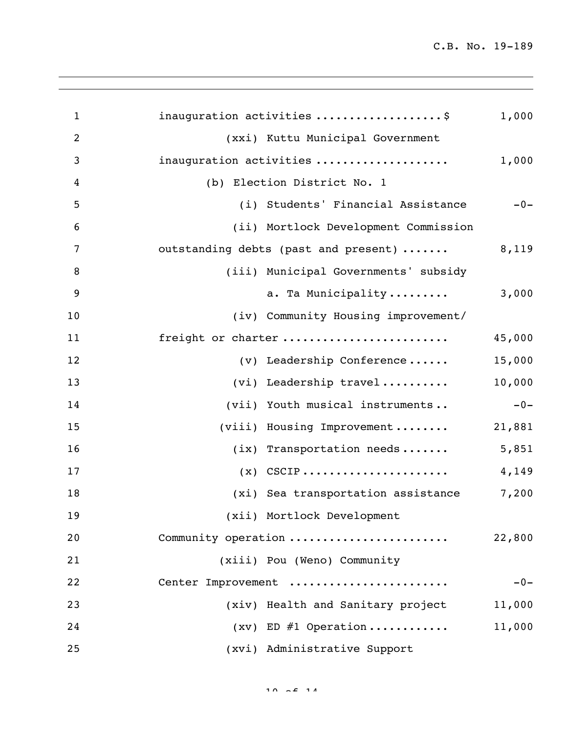| $\mathbf{1}$   | inauguration activities \$           | 1,000  |
|----------------|--------------------------------------|--------|
| $\overline{2}$ | (xxi) Kuttu Municipal Government     |        |
| 3              | inauguration activities              | 1,000  |
| 4              | (b) Election District No. 1          |        |
| 5              | (i) Students' Financial Assistance   | $-0-$  |
| 6              | (ii) Mortlock Development Commission |        |
| 7              | outstanding debts (past and present) | 8,119  |
| 8              | (iii) Municipal Governments' subsidy |        |
| 9              | a. Ta Municipality                   | 3,000  |
| 10             | (iv) Community Housing improvement/  |        |
| 11             | freight or charter                   | 45,000 |
| 12             | $(v)$ Leadership Conference          | 15,000 |
| 13             | (vi) Leadership travel               | 10,000 |
| 14             | (vii) Youth musical instruments      | $-0-$  |
| 15             | (viii) Housing Improvement           | 21,881 |
| 16             | $(ix)$ Transportation needs          | 5,851  |
| 17             |                                      | 4,149  |
| 18             | (xi) Sea transportation assistance   | 7,200  |
| 19             | (xii) Mortlock Development           |        |
| 20             | Community operation                  | 22,800 |
| 21             | (xiii) Pou (Weno) Community          |        |
| 22             | Center Improvement                   | $-0-$  |
| 23             | (xiv) Health and Sanitary project    | 11,000 |
| 24             | $(xv)$ ED #1 Operation               | 11,000 |
| 25             | (xvi) Administrative Support         |        |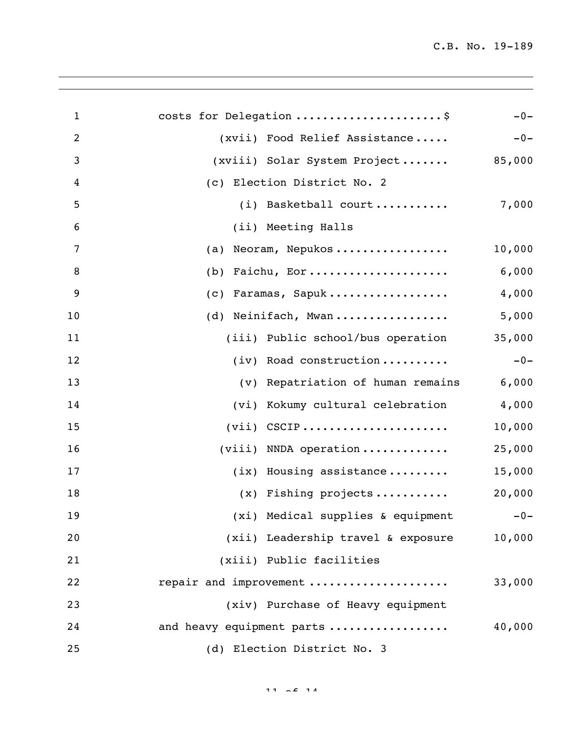| $\mathbf{1}$   | costs for Delegation \$               | $-0-$  |
|----------------|---------------------------------------|--------|
| $\overline{2}$ | (xvii) Food Relief Assistance         | $-0-$  |
| 3              | (xviii) Solar System Project          | 85,000 |
| 4              | (c) Election District No. 2           |        |
| 5              | (i) Basketball court                  | 7,000  |
| 6              | (ii) Meeting Halls                    |        |
| 7              | Neoram, Nepukos<br>(a)                | 10,000 |
| 8              | Faichu, Eor<br>(b)                    | 6,000  |
| 9              | Faramas, Sapuk<br>(C)                 | 4,000  |
| 10             | (d) Neinifach, Mwan                   | 5,000  |
| 11             | (iii) Public school/bus operation     | 35,000 |
| 12             | (iv) Road construction                | $-0-$  |
| 13             | (v) Repatriation of human remains     | 6,000  |
| 14             | (vi) Kokumy cultural celebration      | 4,000  |
| 15             |                                       | 10,000 |
| 16             | $(viii)$ NNDA operation               | 25,000 |
| 17             | $(ix)$ Housing assistance             | 15,000 |
| 18             | $(x)$ Fishing projects                | 20,000 |
| 19             | (xi) Medical supplies & equipment -0- |        |
| 20             | (xii) Leadership travel & exposure    | 10,000 |
| 21             | (xiii) Public facilities              |        |
| 22             | repair and improvement                | 33,000 |
| 23             | (xiv) Purchase of Heavy equipment     |        |
| 24             | and heavy equipment parts             | 40,000 |
| 25             | (d) Election District No. 3           |        |

 $11 \quad \sim \mathcal{L} \quad 14$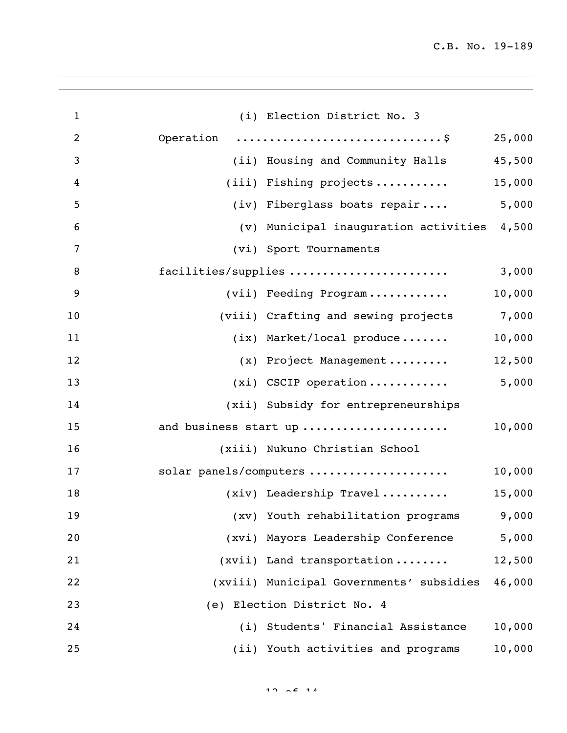| $\mathbf{1}$   | (i) Election District No. 3                 |        |
|----------------|---------------------------------------------|--------|
| $\overline{2}$ | Operation \$                                | 25,000 |
| 3              | (ii) Housing and Community Halls            | 45,500 |
| 4              | $(iii)$ Fishing projects                    | 15,000 |
| 5              | (iv) Fiberglass boats repair                | 5,000  |
| 6              | (v) Municipal inauguration activities 4,500 |        |
| 7              | (vi) Sport Tournaments                      |        |
| 8              | facilities/supplies                         | 3,000  |
| 9              | (vii) Feeding Program                       | 10,000 |
| 10             | (viii) Crafting and sewing projects 7,000   |        |
| 11             | $(ix)$ Market/local produce                 | 10,000 |
| 12             | (x) Project Management                      | 12,500 |
| 13             | $(xi)$ CSCIP operation                      | 5,000  |
| 14             | (xii) Subsidy for entrepreneurships         |        |
| 15             | and business start up                       | 10,000 |
| 16             | (xiii) Nukuno Christian School              |        |
| 17             | solar panels/computers                      | 10,000 |
| 18             | $(xiv)$ Leadership Travel                   | 15,000 |
| 19             | (xv) Youth rehabilitation programs 9,000    |        |
| 20             | (xvi) Mayors Leadership Conference          | 5,000  |
| 21             | (xvii) Land transportation                  | 12,500 |
| 22             | (xviii) Municipal Governments' subsidies    | 46,000 |
| 23             | (e) Election District No. 4                 |        |
| 24             | (i) Students' Financial Assistance          | 10,000 |
| 25             | (ii) Youth activities and programs          | 10,000 |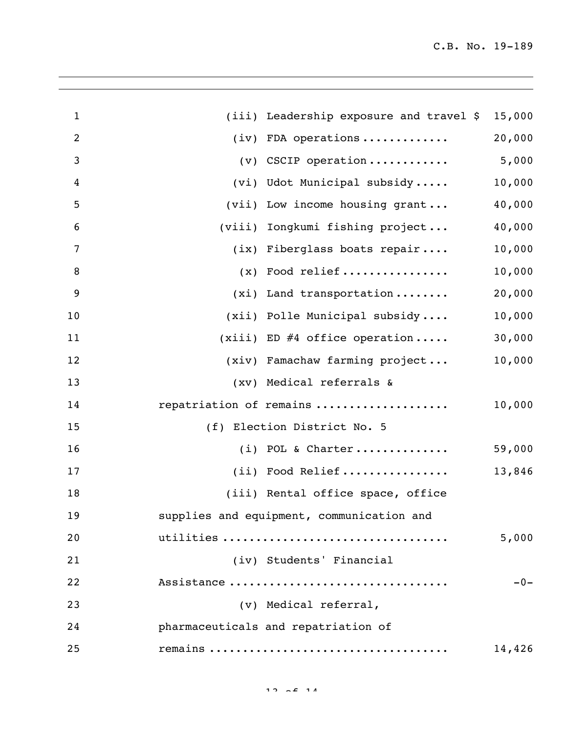|  | 15,000                                                                                                                                                                                                                                                                                                                                                                                                                                                                                                                                                                                                                                                                                                                         |
|--|--------------------------------------------------------------------------------------------------------------------------------------------------------------------------------------------------------------------------------------------------------------------------------------------------------------------------------------------------------------------------------------------------------------------------------------------------------------------------------------------------------------------------------------------------------------------------------------------------------------------------------------------------------------------------------------------------------------------------------|
|  | 20,000                                                                                                                                                                                                                                                                                                                                                                                                                                                                                                                                                                                                                                                                                                                         |
|  | 5,000                                                                                                                                                                                                                                                                                                                                                                                                                                                                                                                                                                                                                                                                                                                          |
|  | 10,000                                                                                                                                                                                                                                                                                                                                                                                                                                                                                                                                                                                                                                                                                                                         |
|  | 40,000                                                                                                                                                                                                                                                                                                                                                                                                                                                                                                                                                                                                                                                                                                                         |
|  | 40,000                                                                                                                                                                                                                                                                                                                                                                                                                                                                                                                                                                                                                                                                                                                         |
|  | 10,000                                                                                                                                                                                                                                                                                                                                                                                                                                                                                                                                                                                                                                                                                                                         |
|  | 10,000                                                                                                                                                                                                                                                                                                                                                                                                                                                                                                                                                                                                                                                                                                                         |
|  | 20,000                                                                                                                                                                                                                                                                                                                                                                                                                                                                                                                                                                                                                                                                                                                         |
|  | 10,000                                                                                                                                                                                                                                                                                                                                                                                                                                                                                                                                                                                                                                                                                                                         |
|  | 30,000                                                                                                                                                                                                                                                                                                                                                                                                                                                                                                                                                                                                                                                                                                                         |
|  | 10,000                                                                                                                                                                                                                                                                                                                                                                                                                                                                                                                                                                                                                                                                                                                         |
|  |                                                                                                                                                                                                                                                                                                                                                                                                                                                                                                                                                                                                                                                                                                                                |
|  | 10,000                                                                                                                                                                                                                                                                                                                                                                                                                                                                                                                                                                                                                                                                                                                         |
|  |                                                                                                                                                                                                                                                                                                                                                                                                                                                                                                                                                                                                                                                                                                                                |
|  | 59,000                                                                                                                                                                                                                                                                                                                                                                                                                                                                                                                                                                                                                                                                                                                         |
|  | 13,846                                                                                                                                                                                                                                                                                                                                                                                                                                                                                                                                                                                                                                                                                                                         |
|  |                                                                                                                                                                                                                                                                                                                                                                                                                                                                                                                                                                                                                                                                                                                                |
|  |                                                                                                                                                                                                                                                                                                                                                                                                                                                                                                                                                                                                                                                                                                                                |
|  | 5,000                                                                                                                                                                                                                                                                                                                                                                                                                                                                                                                                                                                                                                                                                                                          |
|  |                                                                                                                                                                                                                                                                                                                                                                                                                                                                                                                                                                                                                                                                                                                                |
|  | $-0-$                                                                                                                                                                                                                                                                                                                                                                                                                                                                                                                                                                                                                                                                                                                          |
|  |                                                                                                                                                                                                                                                                                                                                                                                                                                                                                                                                                                                                                                                                                                                                |
|  |                                                                                                                                                                                                                                                                                                                                                                                                                                                                                                                                                                                                                                                                                                                                |
|  | 14,426                                                                                                                                                                                                                                                                                                                                                                                                                                                                                                                                                                                                                                                                                                                         |
|  | (iii) Leadership exposure and travel \$<br>$(iv)$ FDA operations<br>$(v)$ CSCIP operation<br>(vi) Udot Municipal subsidy<br>(vii) Low income housing grant<br>(viii) Iongkumi fishing project<br>(ix) Fiberglass boats repair<br>$(x)$ Food relief<br>$(xi)$ Land transportation<br>(xii) Polle Municipal subsidy<br>(xiii) ED #4 office operation<br>(xiv) Famachaw farming project<br>(xv) Medical referrals &<br>repatriation of remains<br>(f) Election District No. 5<br>$(i)$ POL & Charter<br>(ii) Food Relief<br>(iii) Rental office space, office<br>supplies and equipment, communication and<br>utilities<br>(iv) Students' Financial<br>Assistance<br>(v) Medical referral,<br>pharmaceuticals and repatriation of |